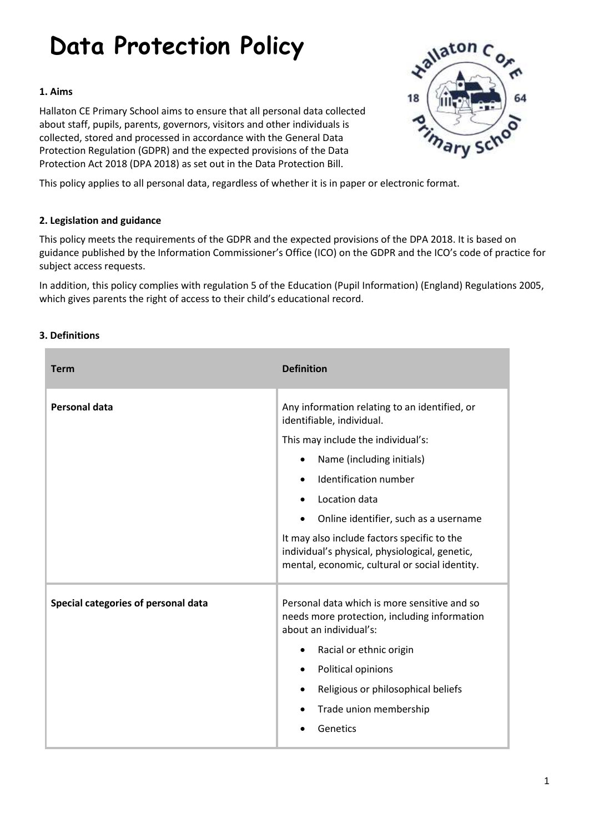# **Data Protection Policy**

# **1. Aims**

Hallaton CE Primary School aims to ensure that all personal data collected about staff, pupils, parents, governors, visitors and other individuals is collected, stored and processed in accordance with the [General Data](http://data.consilium.europa.eu/doc/document/ST-5419-2016-INIT/en/pdf)  [Protection Regulation \(GDPR\)](http://data.consilium.europa.eu/doc/document/ST-5419-2016-INIT/en/pdf) and the expected provisions of the Data Protection Act 2018 (DPA 2018) as set out in the [Data Protection Bill.](https://publications.parliament.uk/pa/bills/cbill/2017-2019/0153/18153.pdf)



This policy applies to all personal data, regardless of whether it is in paper or electronic format.

# **2. Legislation and guidance**

This policy meets the requirements of the GDPR and the expected provisions of the DPA 2018. It is based on guidance published by the Information Commissioner's Office (ICO) on the [GDPR](https://ico.org.uk/for-organisations/guide-to-the-general-data-protection-regulation-gdpr/) and the ICO's [code of practice for](https://ico.org.uk/media/for-organisations/documents/2014223/subject-access-code-of-practice.pdf)  [subject access requests.](https://ico.org.uk/media/for-organisations/documents/2014223/subject-access-code-of-practice.pdf)

In addition, this policy complies with regulation 5 of the [Education \(Pupil Information\) \(England\) Regulations 2005,](http://www.legislation.gov.uk/uksi/2005/1437/regulation/5/made) which gives parents the right of access to their child's educational record.

# **3. Definitions**

| <b>Term</b>                         | <b>Definition</b>                                                                                                                               |
|-------------------------------------|-------------------------------------------------------------------------------------------------------------------------------------------------|
| <b>Personal data</b>                | Any information relating to an identified, or<br>identifiable, individual.                                                                      |
|                                     | This may include the individual's:                                                                                                              |
|                                     | Name (including initials)<br>٠                                                                                                                  |
|                                     | Identification number<br>$\bullet$                                                                                                              |
|                                     | Location data                                                                                                                                   |
|                                     | Online identifier, such as a username<br>$\bullet$                                                                                              |
|                                     | It may also include factors specific to the<br>individual's physical, physiological, genetic,<br>mental, economic, cultural or social identity. |
| Special categories of personal data | Personal data which is more sensitive and so<br>needs more protection, including information<br>about an individual's:                          |
|                                     | Racial or ethnic origin<br>٠                                                                                                                    |
|                                     | Political opinions<br>$\bullet$                                                                                                                 |
|                                     | Religious or philosophical beliefs<br>$\bullet$                                                                                                 |
|                                     | Trade union membership                                                                                                                          |
|                                     | Genetics                                                                                                                                        |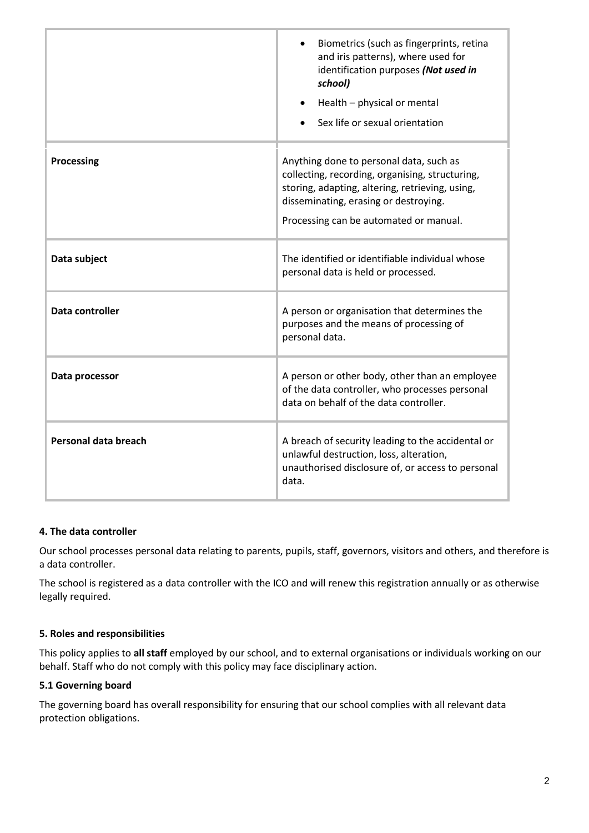|                      | Biometrics (such as fingerprints, retina<br>and iris patterns), where used for<br>identification purposes (Not used in<br>school)<br>Health - physical or mental<br>Sex life or sexual orientation                               |
|----------------------|----------------------------------------------------------------------------------------------------------------------------------------------------------------------------------------------------------------------------------|
| <b>Processing</b>    | Anything done to personal data, such as<br>collecting, recording, organising, structuring,<br>storing, adapting, altering, retrieving, using,<br>disseminating, erasing or destroying.<br>Processing can be automated or manual. |
| Data subject         | The identified or identifiable individual whose<br>personal data is held or processed.                                                                                                                                           |
| Data controller      | A person or organisation that determines the<br>purposes and the means of processing of<br>personal data.                                                                                                                        |
| Data processor       | A person or other body, other than an employee<br>of the data controller, who processes personal<br>data on behalf of the data controller.                                                                                       |
| Personal data breach | A breach of security leading to the accidental or<br>unlawful destruction, loss, alteration,<br>unauthorised disclosure of, or access to personal<br>data.                                                                       |

# **4. The data controller**

Our school processes personal data relating to parents, pupils, staff, governors, visitors and others, and therefore is a data controller.

The school is registered as a data controller with the ICO and will renew this registration annually or as otherwise legally required.

# **5. Roles and responsibilities**

This policy applies to **all staff** employed by our school, and to external organisations or individuals working on our behalf. Staff who do not comply with this policy may face disciplinary action.

# **5.1 Governing board**

The governing board has overall responsibility for ensuring that our school complies with all relevant data protection obligations.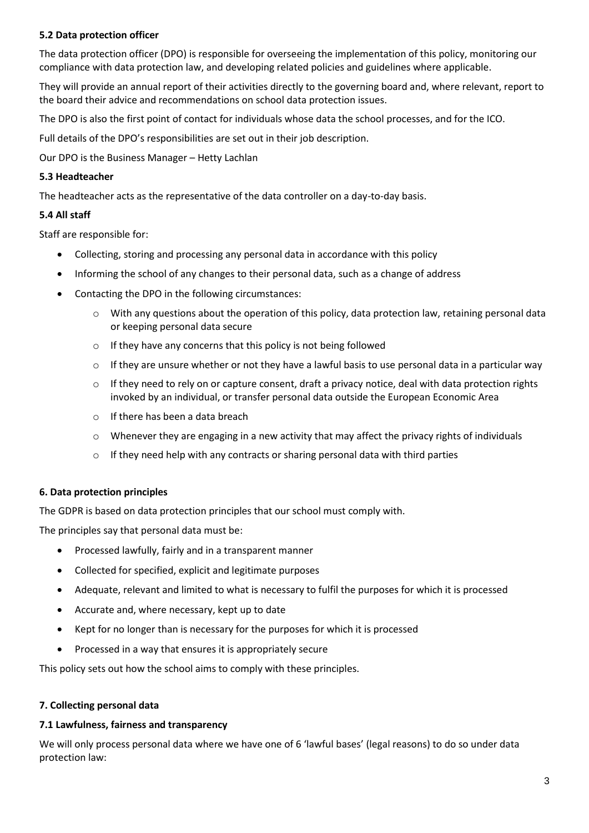# **5.2 Data protection officer**

The data protection officer (DPO) is responsible for overseeing the implementation of this policy, monitoring our compliance with data protection law, and developing related policies and guidelines where applicable.

They will provide an annual report of their activities directly to the governing board and, where relevant, report to the board their advice and recommendations on school data protection issues.

The DPO is also the first point of contact for individuals whose data the school processes, and for the ICO.

Full details of the DPO's responsibilities are set out in their job description.

Our DPO is the Business Manager – Hetty Lachlan

## **5.3 Headteacher**

The headteacher acts as the representative of the data controller on a day-to-day basis.

# **5.4 All staff**

Staff are responsible for:

- Collecting, storing and processing any personal data in accordance with this policy
- Informing the school of any changes to their personal data, such as a change of address
- Contacting the DPO in the following circumstances:
	- o With any questions about the operation of this policy, data protection law, retaining personal data or keeping personal data secure
	- o If they have any concerns that this policy is not being followed
	- $\circ$  If they are unsure whether or not they have a lawful basis to use personal data in a particular way
	- $\circ$  If they need to rely on or capture consent, draft a privacy notice, deal with data protection rights invoked by an individual, or transfer personal data outside the European Economic Area
	- o If there has been a data breach
	- $\circ$  Whenever they are engaging in a new activity that may affect the privacy rights of individuals
	- $\circ$  If they need help with any contracts or sharing personal data with third parties

# **6. Data protection principles**

The GDPR is based on data protection principles that our school must comply with.

The principles say that personal data must be:

- Processed lawfully, fairly and in a transparent manner
- Collected for specified, explicit and legitimate purposes
- Adequate, relevant and limited to what is necessary to fulfil the purposes for which it is processed
- Accurate and, where necessary, kept up to date
- Kept for no longer than is necessary for the purposes for which it is processed
- Processed in a way that ensures it is appropriately secure

This policy sets out how the school aims to comply with these principles.

# **7. Collecting personal data**

#### **7.1 Lawfulness, fairness and transparency**

We will only process personal data where we have one of 6 'lawful bases' (legal reasons) to do so under data protection law: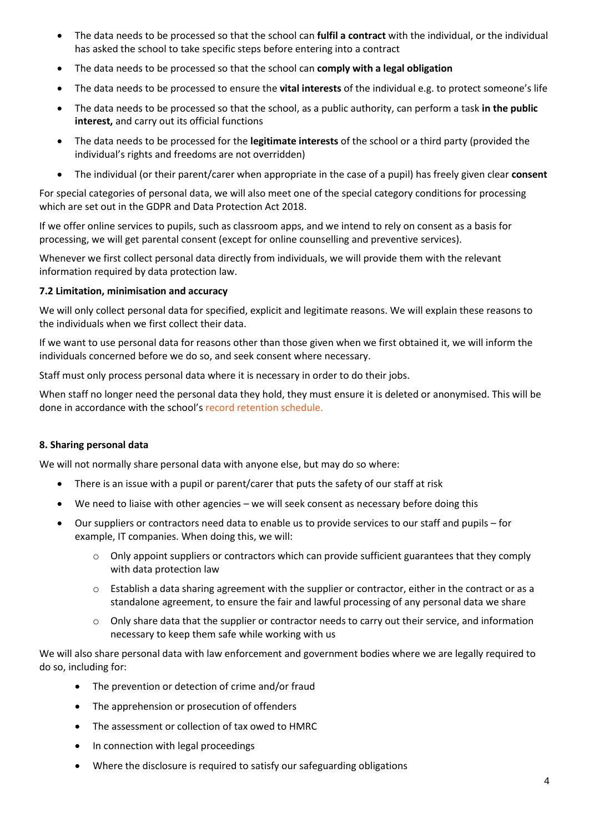- The data needs to be processed so that the school can **fulfil a contract** with the individual, or the individual has asked the school to take specific steps before entering into a contract
- The data needs to be processed so that the school can **comply with a legal obligation**
- The data needs to be processed to ensure the **vital interests** of the individual e.g. to protect someone's life
- The data needs to be processed so that the school, as a public authority, can perform a task **in the public interest,** and carry out its official functions
- The data needs to be processed for the **legitimate interests** of the school or a third party (provided the individual's rights and freedoms are not overridden)
- The individual (or their parent/carer when appropriate in the case of a pupil) has freely given clear **consent**

For special categories of personal data, we will also meet one of the special category conditions for processing which are set out in the GDPR and Data Protection Act 2018.

If we offer online services to pupils, such as classroom apps, and we intend to rely on consent as a basis for processing, we will get parental consent (except for online counselling and preventive services).

Whenever we first collect personal data directly from individuals, we will provide them with the relevant information required by data protection law.

#### **7.2 Limitation, minimisation and accuracy**

We will only collect personal data for specified, explicit and legitimate reasons. We will explain these reasons to the individuals when we first collect their data.

If we want to use personal data for reasons other than those given when we first obtained it, we will inform the individuals concerned before we do so, and seek consent where necessary.

Staff must only process personal data where it is necessary in order to do their jobs.

When staff no longer need the personal data they hold, they must ensure it is deleted or anonymised. This will be done in accordance with the school's record retention schedule.

# **8. Sharing personal data**

We will not normally share personal data with anyone else, but may do so where:

- There is an issue with a pupil or parent/carer that puts the safety of our staff at risk
- We need to liaise with other agencies we will seek consent as necessary before doing this
- Our suppliers or contractors need data to enable us to provide services to our staff and pupils for example, IT companies. When doing this, we will:
	- $\circ$  Only appoint suppliers or contractors which can provide sufficient guarantees that they comply with data protection law
	- $\circ$  Establish a data sharing agreement with the supplier or contractor, either in the contract or as a standalone agreement, to ensure the fair and lawful processing of any personal data we share
	- $\circ$  Only share data that the supplier or contractor needs to carry out their service, and information necessary to keep them safe while working with us

We will also share personal data with law enforcement and government bodies where we are legally required to do so, including for:

- The prevention or detection of crime and/or fraud
- The apprehension or prosecution of offenders
- The assessment or collection of tax owed to HMRC
- In connection with legal proceedings
- Where the disclosure is required to satisfy our safeguarding obligations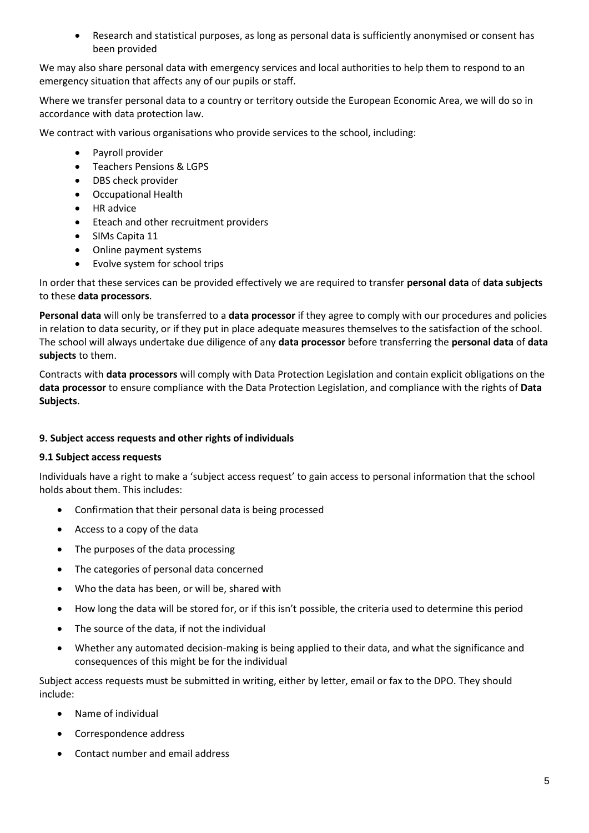Research and statistical purposes, as long as personal data is sufficiently anonymised or consent has been provided

We may also share personal data with emergency services and local authorities to help them to respond to an emergency situation that affects any of our pupils or staff.

Where we transfer personal data to a country or territory outside the European Economic Area, we will do so in accordance with data protection law.

We contract with various organisations who provide services to the school, including:

- Payroll provider
- Teachers Pensions & LGPS
- DBS check provider
- Occupational Health
- HR advice
- Eteach and other recruitment providers
- SIMs Capita 11
- Online payment systems
- Evolve system for school trips

In order that these services can be provided effectively we are required to transfer **personal data** of **data subjects**  to these **data processors**.

**Personal data** will only be transferred to a **data processor** if they agree to comply with our procedures and policies in relation to data security, or if they put in place adequate measures themselves to the satisfaction of the school. The school will always undertake due diligence of any **data processor** before transferring the **personal data** of **data subjects** to them.

Contracts with **data processors** will comply with Data Protection Legislation and contain explicit obligations on the **data processor** to ensure compliance with the Data Protection Legislation, and compliance with the rights of **Data Subjects**.

#### **9. Subject access requests and other rights of individuals**

#### **9.1 Subject access requests**

Individuals have a right to make a 'subject access request' to gain access to personal information that the school holds about them. This includes:

- Confirmation that their personal data is being processed
- Access to a copy of the data
- The purposes of the data processing
- The categories of personal data concerned
- Who the data has been, or will be, shared with
- How long the data will be stored for, or if this isn't possible, the criteria used to determine this period
- The source of the data, if not the individual
- Whether any automated decision-making is being applied to their data, and what the significance and consequences of this might be for the individual

Subject access requests must be submitted in writing, either by letter, email or fax to the DPO. They should include:

- Name of individual
- Correspondence address
- Contact number and email address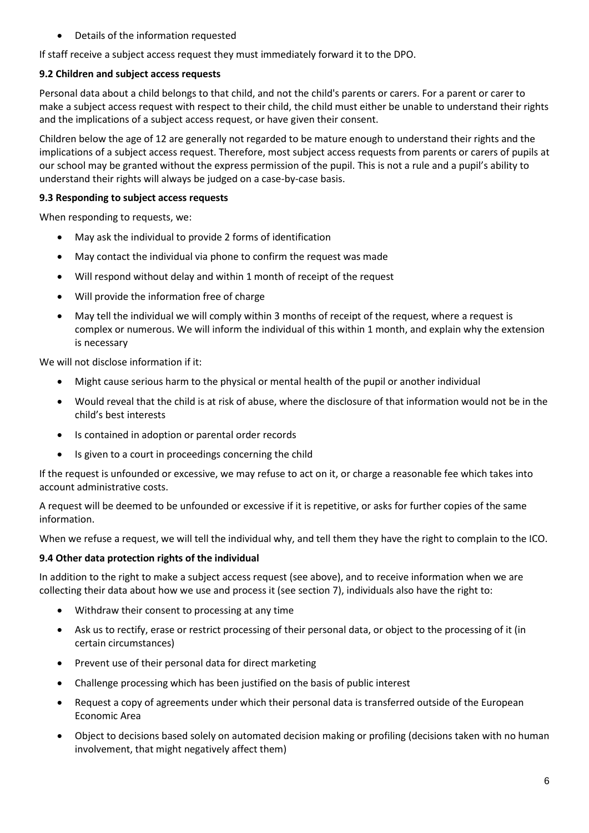Details of the information requested

If staff receive a subject access request they must immediately forward it to the DPO.

# **9.2 Children and subject access requests**

Personal data about a child belongs to that child, and not the child's parents or carers. For a parent or carer to make a subject access request with respect to their child, the child must either be unable to understand their rights and the implications of a subject access request, or have given their consent.

Children below the age of 12 are generally not regarded to be mature enough to understand their rights and the implications of a subject access request. Therefore, most subject access requests from parents or carers of pupils at our school may be granted without the express permission of the pupil. This is not a rule and a pupil's ability to understand their rights will always be judged on a case-by-case basis.

# **9.3 Responding to subject access requests**

When responding to requests, we:

- May ask the individual to provide 2 forms of identification
- May contact the individual via phone to confirm the request was made
- Will respond without delay and within 1 month of receipt of the request
- Will provide the information free of charge
- May tell the individual we will comply within 3 months of receipt of the request, where a request is complex or numerous. We will inform the individual of this within 1 month, and explain why the extension is necessary

We will not disclose information if it:

- Might cause serious harm to the physical or mental health of the pupil or another individual
- Would reveal that the child is at risk of abuse, where the disclosure of that information would not be in the child's best interests
- Is contained in adoption or parental order records
- Is given to a court in proceedings concerning the child

If the request is unfounded or excessive, we may refuse to act on it, or charge a reasonable fee which takes into account administrative costs.

A request will be deemed to be unfounded or excessive if it is repetitive, or asks for further copies of the same information.

When we refuse a request, we will tell the individual why, and tell them they have the right to complain to the ICO.

# **9.4 Other data protection rights of the individual**

In addition to the right to make a subject access request (see above), and to receive information when we are collecting their data about how we use and process it (see section 7), individuals also have the right to:

- Withdraw their consent to processing at any time
- Ask us to rectify, erase or restrict processing of their personal data, or object to the processing of it (in certain circumstances)
- Prevent use of their personal data for direct marketing
- Challenge processing which has been justified on the basis of public interest
- Request a copy of agreements under which their personal data is transferred outside of the European Economic Area
- Object to decisions based solely on automated decision making or profiling (decisions taken with no human involvement, that might negatively affect them)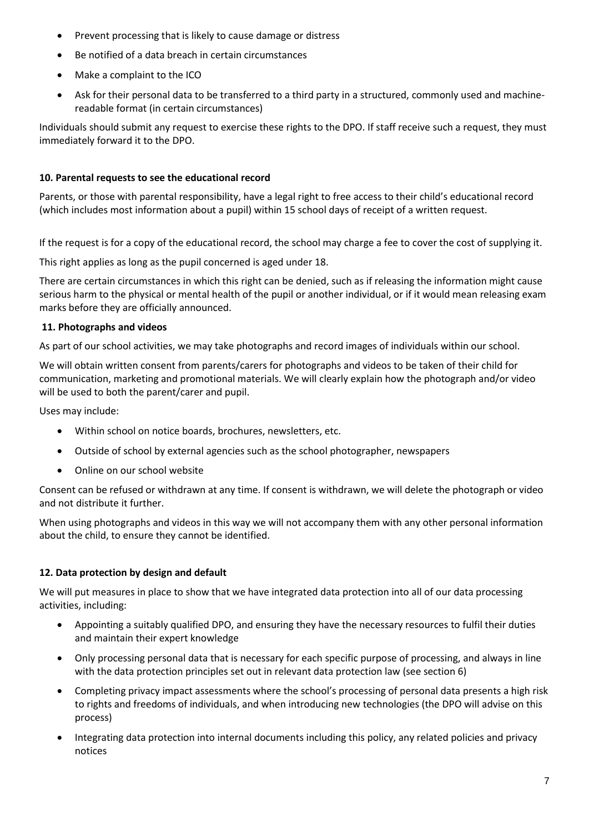- Prevent processing that is likely to cause damage or distress
- Be notified of a data breach in certain circumstances
- Make a complaint to the ICO
- Ask for their personal data to be transferred to a third party in a structured, commonly used and machinereadable format (in certain circumstances)

Individuals should submit any request to exercise these rights to the DPO. If staff receive such a request, they must immediately forward it to the DPO.

# **10. Parental requests to see the educational record**

Parents, or those with parental responsibility, have a legal right to free access to their child's educational record (which includes most information about a pupil) within 15 school days of receipt of a written request.

If the request is for a copy of the educational record, the school may charge a fee to cover the cost of supplying it.

This right applies as long as the pupil concerned is aged under 18.

There are certain circumstances in which this right can be denied, such as if releasing the information might cause serious harm to the physical or mental health of the pupil or another individual, or if it would mean releasing exam marks before they are officially announced.

# **11. Photographs and videos**

As part of our school activities, we may take photographs and record images of individuals within our school.

We will obtain written consent from parents/carers for photographs and videos to be taken of their child for communication, marketing and promotional materials. We will clearly explain how the photograph and/or video will be used to both the parent/carer and pupil.

Uses may include:

- Within school on notice boards, brochures, newsletters, etc.
- Outside of school by external agencies such as the school photographer, newspapers
- Online on our school website

Consent can be refused or withdrawn at any time. If consent is withdrawn, we will delete the photograph or video and not distribute it further.

When using photographs and videos in this way we will not accompany them with any other personal information about the child, to ensure they cannot be identified.

# **12. Data protection by design and default**

We will put measures in place to show that we have integrated data protection into all of our data processing activities, including:

- Appointing a suitably qualified DPO, and ensuring they have the necessary resources to fulfil their duties and maintain their expert knowledge
- Only processing personal data that is necessary for each specific purpose of processing, and always in line with the data protection principles set out in relevant data protection law (see section 6)
- Completing privacy impact assessments where the school's processing of personal data presents a high risk to rights and freedoms of individuals, and when introducing new technologies (the DPO will advise on this process)
- Integrating data protection into internal documents including this policy, any related policies and privacy notices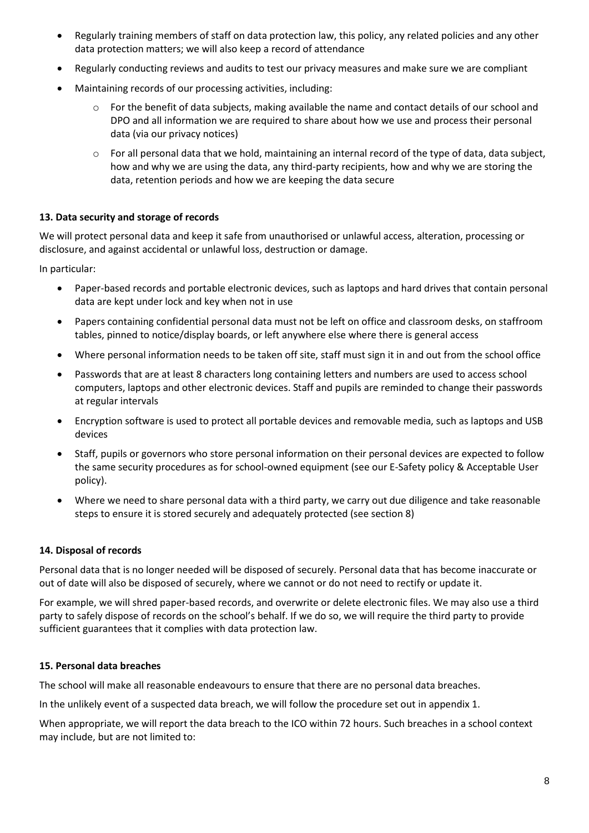- Regularly training members of staff on data protection law, this policy, any related policies and any other data protection matters; we will also keep a record of attendance
- Regularly conducting reviews and audits to test our privacy measures and make sure we are compliant
- Maintaining records of our processing activities, including:
	- For the benefit of data subjects, making available the name and contact details of our school and DPO and all information we are required to share about how we use and process their personal data (via our privacy notices)
	- $\circ$  For all personal data that we hold, maintaining an internal record of the type of data, data subject, how and why we are using the data, any third-party recipients, how and why we are storing the data, retention periods and how we are keeping the data secure

#### **13. Data security and storage of records**

We will protect personal data and keep it safe from unauthorised or unlawful access, alteration, processing or disclosure, and against accidental or unlawful loss, destruction or damage.

In particular:

- Paper-based records and portable electronic devices, such as laptops and hard drives that contain personal data are kept under lock and key when not in use
- Papers containing confidential personal data must not be left on office and classroom desks, on staffroom tables, pinned to notice/display boards, or left anywhere else where there is general access
- Where personal information needs to be taken off site, staff must sign it in and out from the school office
- Passwords that are at least 8 characters long containing letters and numbers are used to access school computers, laptops and other electronic devices. Staff and pupils are reminded to change their passwords at regular intervals
- Encryption software is used to protect all portable devices and removable media, such as laptops and USB devices
- Staff, pupils or governors who store personal information on their personal devices are expected to follow the same security procedures as for school-owned equipment (see our E-Safety policy & Acceptable User policy).
- Where we need to share personal data with a third party, we carry out due diligence and take reasonable steps to ensure it is stored securely and adequately protected (see section 8)

#### **14. Disposal of records**

Personal data that is no longer needed will be disposed of securely. Personal data that has become inaccurate or out of date will also be disposed of securely, where we cannot or do not need to rectify or update it.

For example, we will shred paper-based records, and overwrite or delete electronic files. We may also use a third party to safely dispose of records on the school's behalf. If we do so, we will require the third party to provide sufficient guarantees that it complies with data protection law.

#### **15. Personal data breaches**

The school will make all reasonable endeavours to ensure that there are no personal data breaches.

In the unlikely event of a suspected data breach, we will follow the procedure set out in appendix 1.

When appropriate, we will report the data breach to the ICO within 72 hours. Such breaches in a school context may include, but are not limited to: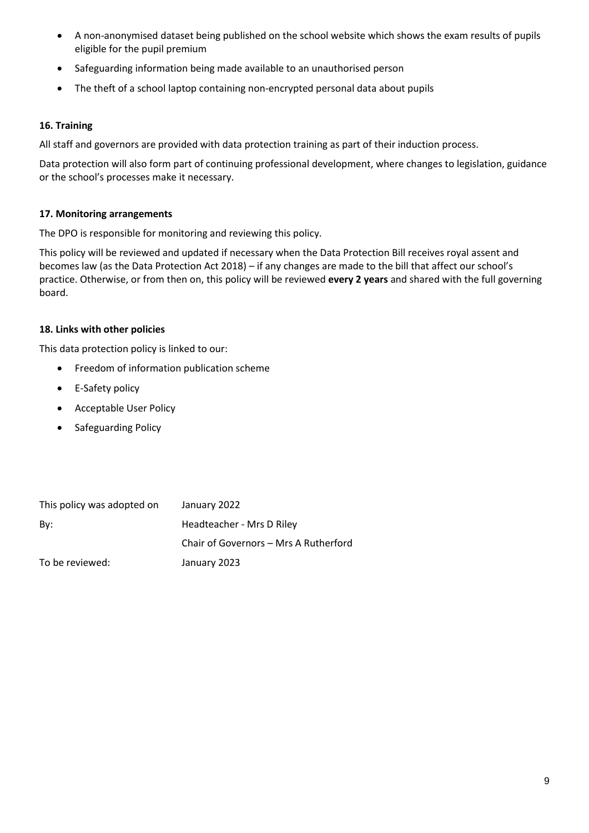- A non-anonymised dataset being published on the school website which shows the exam results of pupils eligible for the pupil premium
- Safeguarding information being made available to an unauthorised person
- The theft of a school laptop containing non-encrypted personal data about pupils

# **16. Training**

All staff and governors are provided with data protection training as part of their induction process.

Data protection will also form part of continuing professional development, where changes to legislation, guidance or the school's processes make it necessary.

# **17. Monitoring arrangements**

The DPO is responsible for monitoring and reviewing this policy.

This policy will be reviewed and updated if necessary when the Data Protection Bill receives royal assent and becomes law (as the Data Protection Act 2018) – if any changes are made to the bill that affect our school's practice. Otherwise, or from then on, this policy will be reviewed **every 2 years** and shared with the full governing board.

# **18. Links with other policies**

This data protection policy is linked to our:

- **•** Freedom of information publication scheme
- E-Safety policy
- Acceptable User Policy
- Safeguarding Policy

| This policy was adopted on | January 2022                          |
|----------------------------|---------------------------------------|
| Bv:                        | Headteacher - Mrs D Riley             |
|                            | Chair of Governors – Mrs A Rutherford |
| To be reviewed:            | January 2023                          |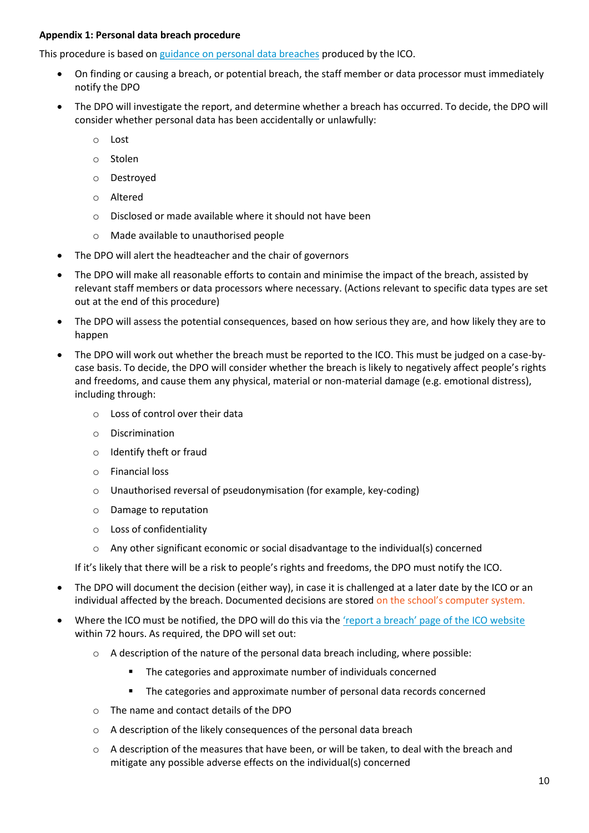# **Appendix 1: Personal data breach procedure**

This procedure is based o[n guidance on personal data breaches](https://ico.org.uk/for-organisations/guide-to-the-general-data-protection-regulation-gdpr/personal-data-breaches/) produced by the ICO.

- On finding or causing a breach, or potential breach, the staff member or data processor must immediately notify the DPO
- The DPO will investigate the report, and determine whether a breach has occurred. To decide, the DPO will consider whether personal data has been accidentally or unlawfully:
	- o Lost
	- o Stolen
	- o Destroyed
	- o Altered
	- o Disclosed or made available where it should not have been
	- o Made available to unauthorised people
- The DPO will alert the headteacher and the chair of governors
- The DPO will make all reasonable efforts to contain and minimise the impact of the breach, assisted by relevant staff members or data processors where necessary. (Actions relevant to specific data types are set out at the end of this procedure)
- The DPO will assess the potential consequences, based on how serious they are, and how likely they are to happen
- The DPO will work out whether the breach must be reported to the ICO. This must be judged on a case-bycase basis. To decide, the DPO will consider whether the breach is likely to negatively affect people's rights and freedoms, and cause them any physical, material or non-material damage (e.g. emotional distress), including through:
	- o Loss of control over their data
	- o Discrimination
	- o Identify theft or fraud
	- o Financial loss
	- o Unauthorised reversal of pseudonymisation (for example, key-coding)
	- o Damage to reputation
	- o Loss of confidentiality
	- $\circ$  Any other significant economic or social disadvantage to the individual(s) concerned

If it's likely that there will be a risk to people's rights and freedoms, the DPO must notify the ICO.

- The DPO will document the decision (either way), in case it is challenged at a later date by the ICO or an individual affected by the breach. Documented decisions are stored on the school's computer system.
- Where the ICO must be notified, the DPO will do this via the ['report a breach' page of the ICO website](https://ico.org.uk/for-organisations/report-a-breach/) within 72 hours. As required, the DPO will set out:
	- $\circ$  A description of the nature of the personal data breach including, where possible:
		- **The categories and approximate number of individuals concerned**
		- **The categories and approximate number of personal data records concerned**
	- o The name and contact details of the DPO
	- o A description of the likely consequences of the personal data breach
	- $\circ$  A description of the measures that have been, or will be taken, to deal with the breach and mitigate any possible adverse effects on the individual(s) concerned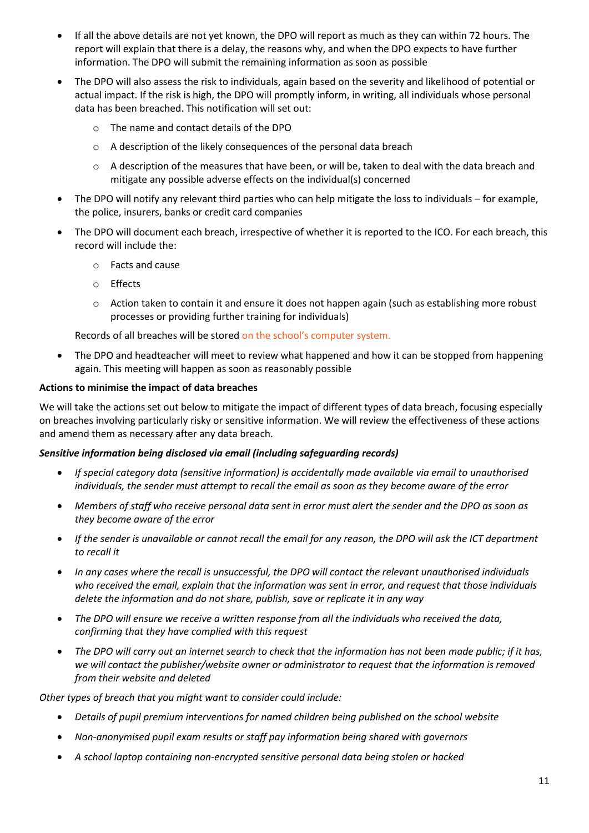- If all the above details are not yet known, the DPO will report as much as they can within 72 hours. The report will explain that there is a delay, the reasons why, and when the DPO expects to have further information. The DPO will submit the remaining information as soon as possible
- The DPO will also assess the risk to individuals, again based on the severity and likelihood of potential or actual impact. If the risk is high, the DPO will promptly inform, in writing, all individuals whose personal data has been breached. This notification will set out:
	- o The name and contact details of the DPO
	- o A description of the likely consequences of the personal data breach
	- o A description of the measures that have been, or will be, taken to deal with the data breach and mitigate any possible adverse effects on the individual(s) concerned
- The DPO will notify any relevant third parties who can help mitigate the loss to individuals for example, the police, insurers, banks or credit card companies
- The DPO will document each breach, irrespective of whether it is reported to the ICO. For each breach, this record will include the:
	- o Facts and cause
	- o Effects
	- o Action taken to contain it and ensure it does not happen again (such as establishing more robust processes or providing further training for individuals)

Records of all breaches will be stored on the school's computer system.

• The DPO and headteacher will meet to review what happened and how it can be stopped from happening again. This meeting will happen as soon as reasonably possible

#### **Actions to minimise the impact of data breaches**

We will take the actions set out below to mitigate the impact of different types of data breach, focusing especially on breaches involving particularly risky or sensitive information. We will review the effectiveness of these actions and amend them as necessary after any data breach.

#### *Sensitive information being disclosed via email (including safeguarding records)*

- *If special category data (sensitive information) is accidentally made available via email to unauthorised individuals, the sender must attempt to recall the email as soon as they become aware of the error*
- *Members of staff who receive personal data sent in error must alert the sender and the DPO as soon as they become aware of the error*
- *If the sender is unavailable or cannot recall the email for any reason, the DPO will ask the ICT department to recall it*
- *In any cases where the recall is unsuccessful, the DPO will contact the relevant unauthorised individuals who received the email, explain that the information was sent in error, and request that those individuals delete the information and do not share, publish, save or replicate it in any way*
- *The DPO will ensure we receive a written response from all the individuals who received the data, confirming that they have complied with this request*
- *The DPO will carry out an internet search to check that the information has not been made public; if it has, we will contact the publisher/website owner or administrator to request that the information is removed from their website and deleted*

*Other types of breach that you might want to consider could include:*

- *Details of pupil premium interventions for named children being published on the school website*
- *Non-anonymised pupil exam results or staff pay information being shared with governors*
- *A school laptop containing non-encrypted sensitive personal data being stolen or hacked*